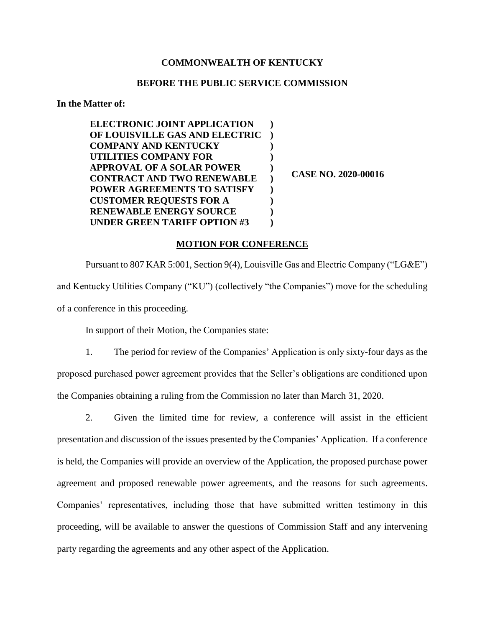## **COMMONWEALTH OF KENTUCKY**

## **BEFORE THE PUBLIC SERVICE COMMISSION**

**In the Matter of:**

| <b>ELECTRONIC JOINT APPLICATION</b> |  |
|-------------------------------------|--|
| OF LOUISVILLE GAS AND ELECTRIC      |  |
| <b>COMPANY AND KENTUCKY</b>         |  |
| UTILITIES COMPANY FOR               |  |
| <b>APPROVAL OF A SOLAR POWER</b>    |  |
| <b>CONTRACT AND TWO RENEWABLE</b>   |  |
| POWER AGREEMENTS TO SATISFY         |  |
| <b>CUSTOMER REQUESTS FOR A</b>      |  |
| <b>RENEWABLE ENERGY SOURCE</b>      |  |
| <b>UNDER GREEN TARIFF OPTION #3</b> |  |
|                                     |  |

**CASE NO. 2020-00016**

## **MOTION FOR CONFERENCE**

Pursuant to 807 KAR 5:001, Section 9(4), Louisville Gas and Electric Company ("LG&E") and Kentucky Utilities Company ("KU") (collectively "the Companies") move for the scheduling of a conference in this proceeding.

In support of their Motion, the Companies state:

1. The period for review of the Companies' Application is only sixty-four days as the proposed purchased power agreement provides that the Seller's obligations are conditioned upon the Companies obtaining a ruling from the Commission no later than March 31, 2020.

2. Given the limited time for review, a conference will assist in the efficient presentation and discussion of the issues presented by the Companies' Application. If a conference is held, the Companies will provide an overview of the Application, the proposed purchase power agreement and proposed renewable power agreements, and the reasons for such agreements. Companies' representatives, including those that have submitted written testimony in this proceeding, will be available to answer the questions of Commission Staff and any intervening party regarding the agreements and any other aspect of the Application.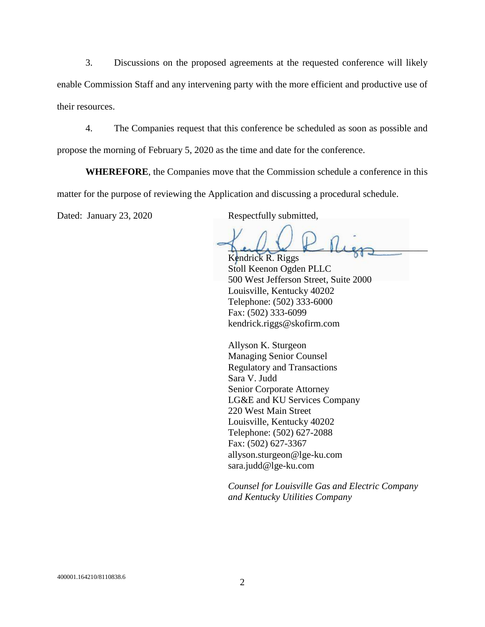3. Discussions on the proposed agreements at the requested conference will likely enable Commission Staff and any intervening party with the more efficient and productive use of their resources.

4. The Companies request that this conference be scheduled as soon as possible and propose the morning of February 5, 2020 as the time and date for the conference.

**WHEREFORE**, the Companies move that the Commission schedule a conference in this matter for the purpose of reviewing the Application and discussing a procedural schedule.

Dated: January 23, 2020 Respectfully submitted,

 $\lim_{k\to\infty}L_k\downarrow\neq\lim_{k\to\infty}L_k$ Kendrick R. Riggs

Stoll Keenon Ogden PLLC 500 West Jefferson Street, Suite 2000 Louisville, Kentucky 40202 Telephone: (502) 333-6000 Fax: (502) 333-6099 kendrick.riggs@skofirm.com

Allyson K. Sturgeon Managing Senior Counsel Regulatory and Transactions Sara V. Judd Senior Corporate Attorney LG&E and KU Services Company 220 West Main Street Louisville, Kentucky 40202 Telephone: (502) 627-2088 Fax: (502) 627-3367 allyson.sturgeon@lge-ku.com sara.judd@lge-ku.com

*Counsel for Louisville Gas and Electric Company and Kentucky Utilities Company*